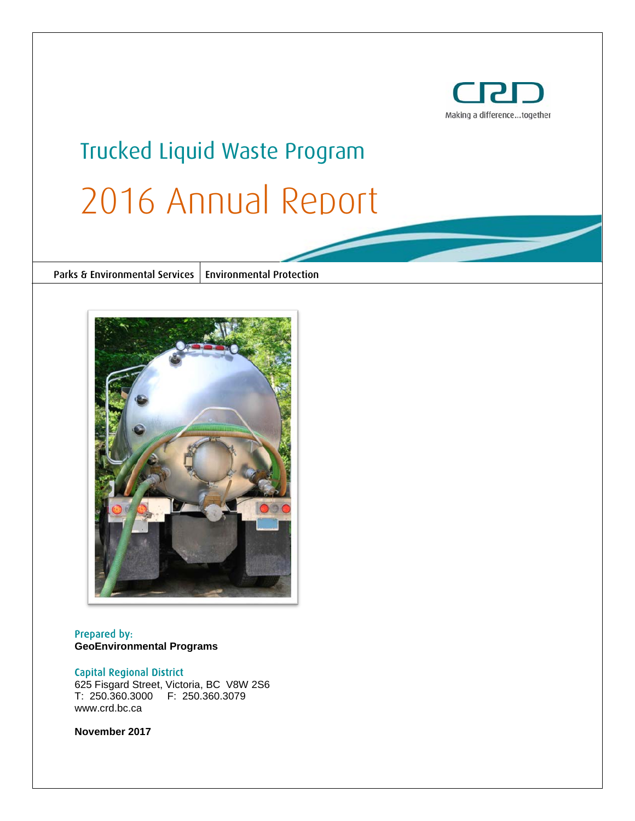

# Trucked Liquid Waste Program 2016 Annual Report

Parks & Environmental Services | Environmental Protection



Prepared by: **GeoEnvironmental Programs**

#### Capital Regional District

625 Fisgard Street, Victoria, BC V8W 2S6 T: 250.360.3000 F: 250.360.3079 www.crd.bc.ca

**November 2017**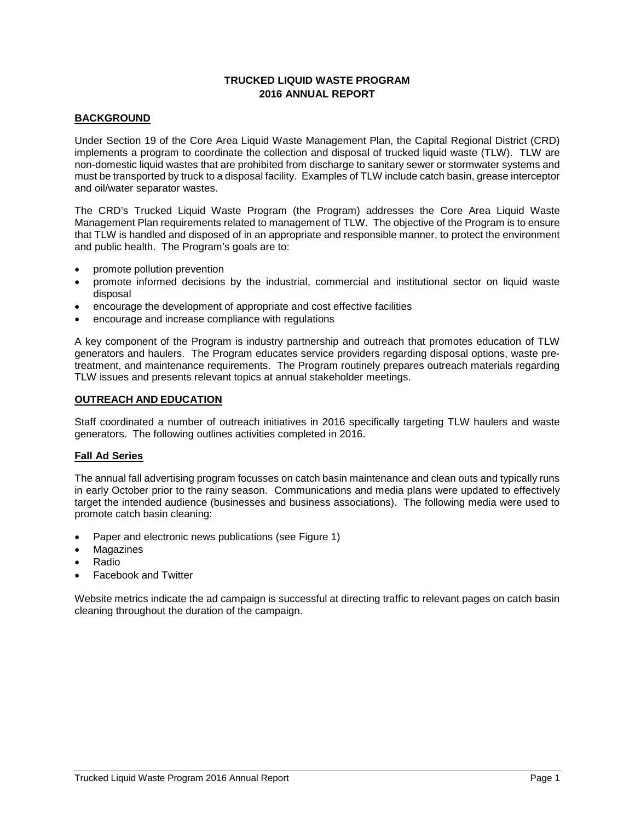# **TRUCKED LIQUID WASTE PROGRAM 2016 ANNUAL REPORT**

#### **BACKGROUND**

Under Section 19 of the Core Area Liquid Waste Management Plan, the Capital Regional District (CRD) implements a program to coordinate the collection and disposal of trucked liquid waste (TLW). TLW are non-domestic liquid wastes that are prohibited from discharge to sanitary sewer or stormwater systems and must be transported by truck to a disposal facility. Examples of TLW include catch basin, grease interceptor and oil/water separator wastes.

The CRD's Trucked Liquid Waste Program (the Program) addresses the Core Area Liquid Waste Management Plan requirements related to management of TLW. The objective of the Program is to ensure that TLW is handled and disposed of in an appropriate and responsible manner, to protect the environment and public health. The Program's goals are to:

- promote pollution prevention
- promote informed decisions by the industrial, commercial and institutional sector on liquid waste disposal
- encourage the development of appropriate and cost effective facilities
- encourage and increase compliance with regulations

A key component of the Program is industry partnership and outreach that promotes education of TLW generators and haulers. The Program educates service providers regarding disposal options, waste pretreatment, and maintenance requirements. The Program routinely prepares outreach materials regarding TLW issues and presents relevant topics at annual stakeholder meetings.

#### **OUTREACH AND EDUCATION**

Staff coordinated a number of outreach initiatives in 2016 specifically targeting TLW haulers and waste generators. The following outlines activities completed in 2016.

#### **Fall Ad Series**

The annual fall advertising program focusses on catch basin maintenance and clean outs and typically runs in early October prior to the rainy season. Communications and media plans were updated to effectively target the intended audience (businesses and business associations). The following media were used to promote catch basin cleaning:

- Paper and electronic news publications (see Figure 1)
- **Magazines**
- Radio
- Facebook and Twitter

Website metrics indicate the ad campaign is successful at directing traffic to relevant pages on catch basin cleaning throughout the duration of the campaign.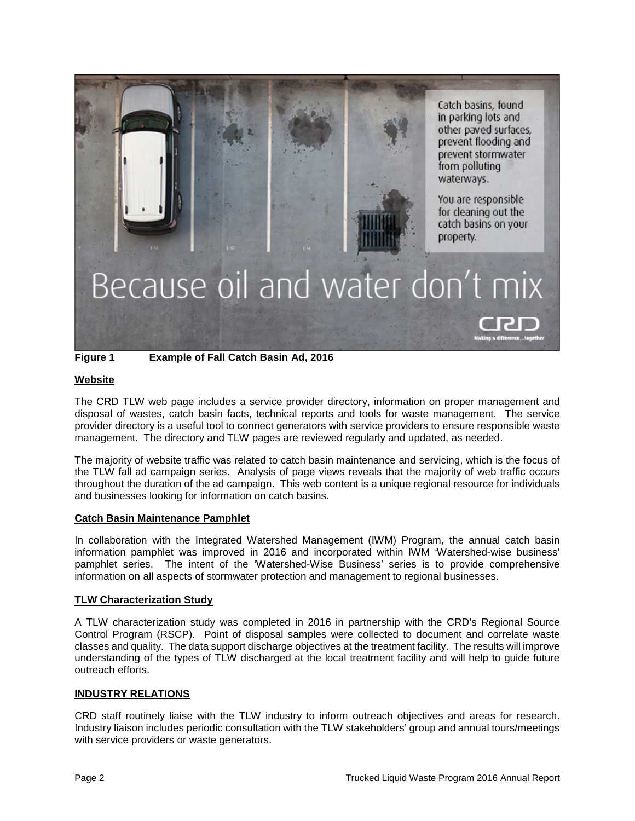

**Figure 1 Example of Fall Catch Basin Ad, 2016**

#### **Website**

The CRD TLW web page includes a service provider directory, information on proper management and disposal of wastes, catch basin facts, technical reports and tools for waste management. The service provider directory is a useful tool to connect generators with service providers to ensure responsible waste management. The directory and TLW pages are reviewed regularly and updated, as needed.

The majority of website traffic was related to catch basin maintenance and servicing, which is the focus of the TLW fall ad campaign series. Analysis of page views reveals that the majority of web traffic occurs throughout the duration of the ad campaign. This web content is a unique regional resource for individuals and businesses looking for information on catch basins.

#### **Catch Basin Maintenance Pamphlet**

In collaboration with the Integrated Watershed Management (IWM) Program, the annual catch basin information pamphlet was improved in 2016 and incorporated within IWM 'Watershed-wise business' pamphlet series. The intent of the 'Watershed-Wise Business' series is to provide comprehensive information on all aspects of stormwater protection and management to regional businesses.

### **TLW Characterization Study**

A TLW characterization study was completed in 2016 in partnership with the CRD's Regional Source Control Program (RSCP). Point of disposal samples were collected to document and correlate waste classes and quality. The data support discharge objectives at the treatment facility. The results will improve understanding of the types of TLW discharged at the local treatment facility and will help to guide future outreach efforts.

#### **INDUSTRY RELATIONS**

CRD staff routinely liaise with the TLW industry to inform outreach objectives and areas for research. Industry liaison includes periodic consultation with the TLW stakeholders' group and annual tours/meetings with service providers or waste generators.